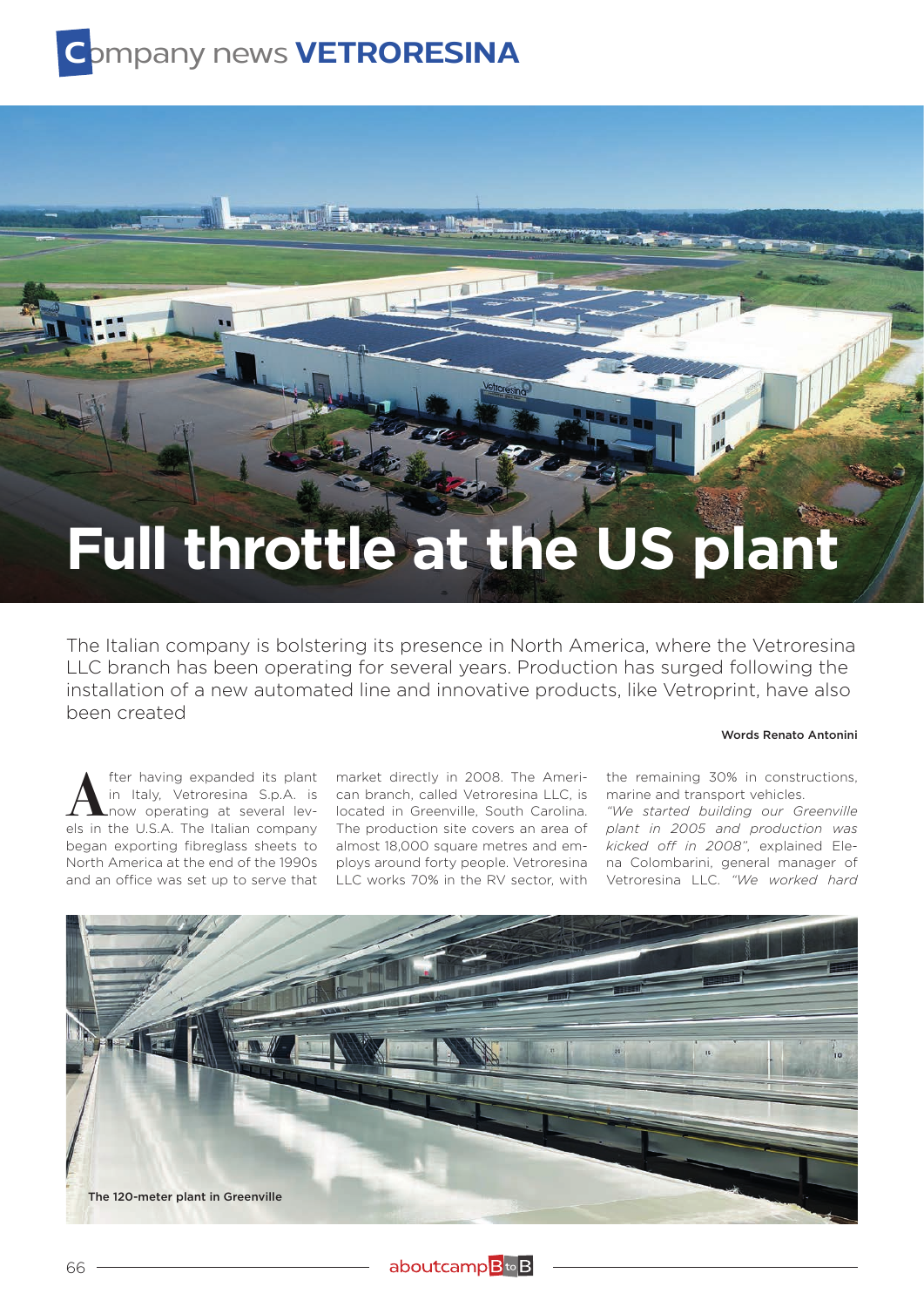## **C**ompany news **VETRORESINA**

## **Full throttle at the US plant**

The Italian company is bolstering its presence in North America, where the Vetroresina LLC branch has been operating for several years. Production has surged following the installation of a new automated line and innovative products, like Vetroprint, have also been created

## Words Renato Antonini

**A** fter having expanded its plant<br>in Italy, Vetroresina S.p.A. is<br>now operating at several levels in the U.S.A. The Italian company in Italy, Vetroresina S.p.A. is now operating at several levels in the U.S.A. The Italian company began exporting fibreglass sheets to North America at the end of the 1990s and an office was set up to serve that

market directly in 2008. The American branch, called Vetroresina LLC, is located in Greenville, South Carolina. The production site covers an area of almost 18,000 square metres and employs around forty people. Vetroresina LLC works 70% in the RV sector, with

the remaining 30% in constructions, marine and transport vehicles.

*"We started building our Greenville plant in 2005 and production was kicked off in 2008"*, explained Elena Colombarini, general manager of Vetroresina LLC. *"We worked hard*